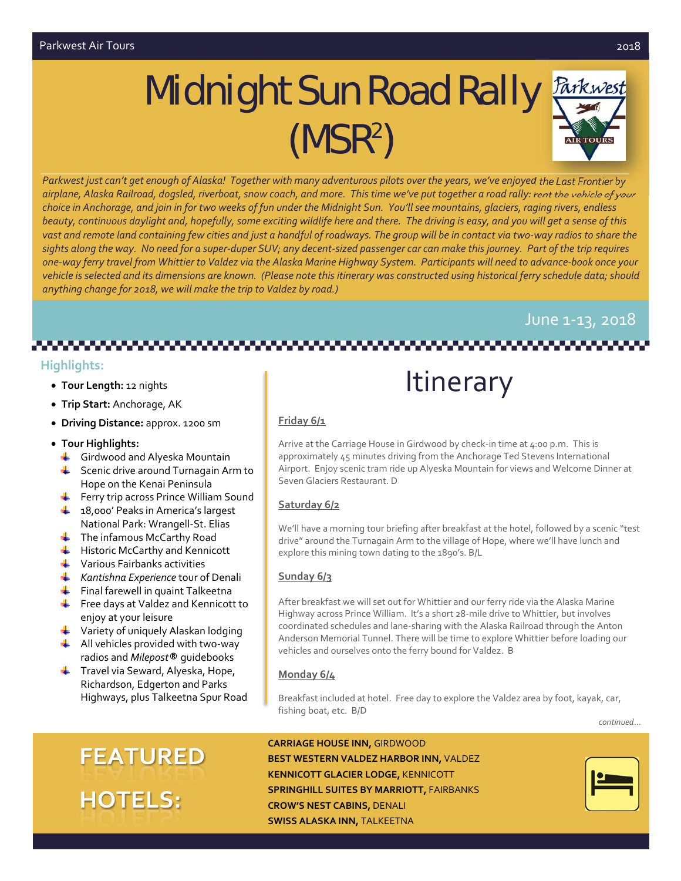# Midnight Sun Road Rally (MSR<sup>2</sup>)



Parkwest just can't get enough of Alaska! Together with many adventurous pilots over the years, we've enjoyed the Last Frontier by airplane, Alaska Railroad, dogsled, riverboat, snow coach, and more. This time we've put together a road rally: rent the vehicle of your choice in Anchorage, and join in for two weeks of fun under the Midnight Sun. You'll see mountains, glaciers, raging rivers, endless beauty, continuous daylight and, hopefully, some exciting wildlife here and there. The driving is easy, and you will get a sense of this vast and remote land containing few cities and just a handful of roadways. The group will be in contact via two-way radios to share the sights along the way. No need for a super-duper SUV; any decent-sized passenger car can make this journey. Part of the trip requires one-way ferry travel from Whittier to Valdez via the Alaska Marine Highway System. Participants will need to advance-book once your vehicle is selected and its dimensions are known. (Please note this itinerary was constructed using historical ferry schedule data; should *anything change for 2018, we will make the trip to Valdez by road.)*

#### June 1‐13, 2018

#### **Highlights:**

- **Tour Length:** 12 nights
- **Trip Start:** Anchorage, AK
- **Driving Distance:** approx. 1200 sm
- **Tour Highlights:**
- Girdwood and Alyeska Mountain
- Scenic drive around Turnagain Arm to Hope on the Kenai Peninsula
- $\leftarrow$  Ferry trip across Prince William Sound
- <sup>1</sup> 18,000' Peaks in America's largest National Park: Wrangell‐St. Elias
- $\ddot{\bullet}$  The infamous McCarthy Road
- $\overline{\phantom{a}}$  Historic McCarthy and Kennicott
- $\frac{1}{\sqrt{2}}$  Various Fairbanks activities
- *Kantishna Experience* tour of Denali
- $\leftarrow$  Final farewell in quaint Talkeetna
- Free days at Valdez and Kennicott to enjoy at your leisure
- $\frac{1}{2}$  Variety of uniquely Alaskan lodging
- $\triangleq$  All vehicles provided with two-way radios and *Milepost***®** guidebooks
- $\ddot{\bullet}$  Travel via Seward, Alyeska, Hope, Richardson, Edgerton and Parks Highways, plus Talkeetna Spur Road

### Itinerary

#### **Friday 6/1**

Arrive at the Carriage House in Girdwood by check-in time at 4:00 p.m. This is approximately 45 minutes driving from the Anchorage Ted Stevens International Airport. Enjoy scenic tram ride up Alyeska Mountain for views and Welcome Dinner at Seven Glaciers Restaurant. D

#### **Saturday 6/2**

We'll have a morning tour briefing after breakfast at the hotel, followed by a scenic "test drive" around the Turnagain Arm to the village of Hope, where we'll have lunch and explore this mining town dating to the 1890's. B/L

#### **Sunday 6/3**

After breakfast we will set out for Whittier and our ferry ride via the Alaska Marine Highway across Prince William. It's a short 28‐mile drive to Whittier, but involves coordinated schedules and lane‐sharing with the Alaska Railroad through the Anton Anderson Memorial Tunnel. There will be time to explore Whittier before loading our vehicles and ourselves onto the ferry bound for Valdez. B

#### **Monday 6/4**

Breakfast included at hotel. Free day to explore the Valdez area by foot, kayak, car, fishing boat, etc. B/D

*continued*…

## **FEATURED HOTELS:**

**CARRIAGE HOUSE INN,** GIRDWOOD **BEST WESTERN VALDEZ HARBOR INN,** VALDEZ **KENNICOTT GLACIER LODGE,** KENNICOTT **SPRINGHILL SUITES BY MARRIOTT,** FAIRBANKS **CROW'S NEST CABINS,** DENALI **SWISS ALASKA INN,** TALKEETNA

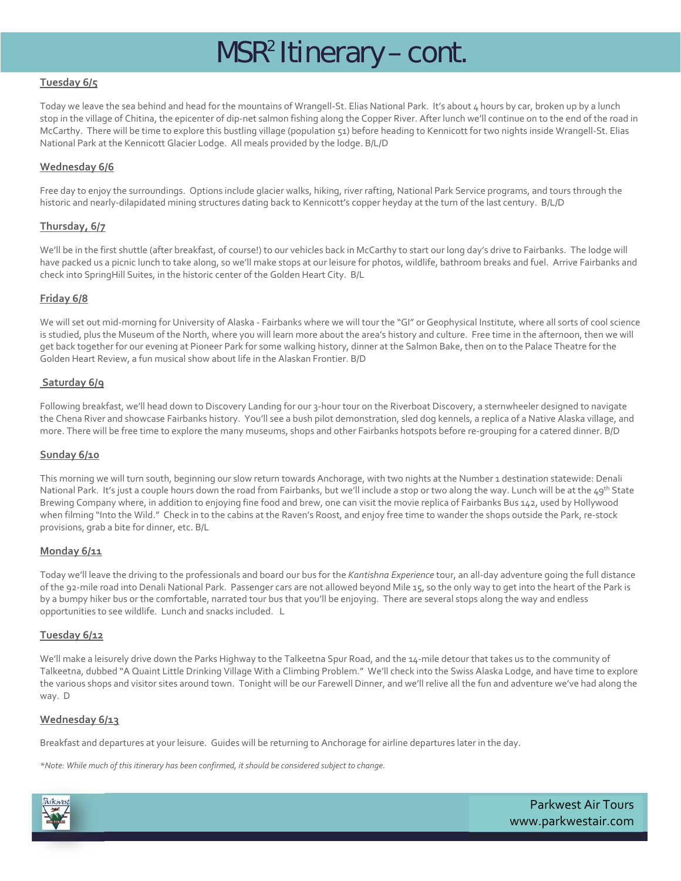### MSR<sup>2</sup> Itinerary - cont.

#### **Tuesday 6/5**

Today we leave the sea behind and head for the mountains of Wrangell-St. Elias National Park. It's about 4 hours by car, broken up by a lunch stop in the village of Chitina, the epicenter of dip‐net salmon fishing along the Copper River. After lunch we'll continue on to the end of the road in McCarthy. There will be time to explore this bustling village (population 51) before heading to Kennicott for two nights inside Wrangell‐St. Elias National Park at the Kennicott Glacier Lodge. All meals provided by the lodge. B/L/D

#### **Wednesday 6/6**

Free day to enjoy the surroundings. Options include glacier walks, hiking, river rafting, National Park Service programs, and tours through the historic and nearly‐dilapidated mining structures dating back to Kennicott's copper heyday at the turn of the last century. B/L/D

#### **Thursday, 6/7**

We'll be in the first shuttle (after breakfast, of course!) to our vehicles back in McCarthy to start our long day's drive to Fairbanks. The lodge will have packed us a picnic lunch to take along, so we'll make stops at our leisure for photos, wildlife, bathroom breaks and fuel. Arrive Fairbanks and check into SpringHill Suites, in the historic center of the Golden Heart City. B/L

#### **Friday 6/8**

We will set out mid-morning for University of Alaska - Fairbanks where we will tour the "GI" or Geophysical Institute, where all sorts of cool science is studied, plus the Museum of the North, where you will learn more about the area's history and culture. Free time in the afternoon, then we will get back together for our evening at Pioneer Park for some walking history, dinner at the Salmon Bake, then on to the Palace Theatre for the Golden Heart Review, a fun musical show about life in the Alaskan Frontier. B/D

#### **Saturday 6/9**

Following breakfast, we'll head down to Discovery Landing for our 3‐hour tour on the Riverboat Discovery, a sternwheeler designed to navigate the Chena River and showcase Fairbanks history. You'll see a bush pilot demonstration, sled dog kennels, a replica of a Native Alaska village, and more. There will be free time to explore the many museums, shops and other Fairbanks hotspots before re-grouping for a catered dinner. B/D

#### **Sunday 6/10**

This morning we will turn south, beginning our slow return towards Anchorage, with two nights at the Number 1 destination statewide: Denali National Park. It's just a couple hours down the road from Fairbanks, but we'll include a stop or two along the way. Lunch will be at the 49<sup>th</sup> State Brewing Company where, in addition to enjoying fine food and brew, one can visit the movie replica of Fairbanks Bus 142, used by Hollywood when filming "Into the Wild." Check in to the cabins at the Raven's Roost, and enjoy free time to wander the shops outside the Park, re-stock provisions, grab a bite for dinner, etc. B/L

#### **Monday 6/11**

Today we'll leave the driving to the professionals and board our bus for the *Kantishna Experience* tour, an all‐day adventure going the full distance of the 92‐mile road into Denali National Park. Passenger cars are not allowed beyond Mile 15, so the only way to get into the heart of the Park is by a bumpy hiker bus or the comfortable, narrated tour bus that you'll be enjoying. There are several stops along the way and endless opportunities to see wildlife. Lunch and snacks included. L

#### **Tuesday 6/12**

We'll make a leisurely drive down the Parks Highway to the Talkeetna Spur Road, and the 14-mile detour that takes us to the community of Talkeetna, dubbed "A Quaint Little Drinking Village With a Climbing Problem." We'll check into the Swiss Alaska Lodge, and have time to explore the various shops and visitor sites around town. Tonight will be our Farewell Dinner, and we'll relive all the fun and adventure we've had along the way. D

#### **Wednesday 6/13**

Breakfast and departures at your leisure. Guides will be returning to Anchorage for airline departures later in the day.

*\*Note: While much of this itinerary has been confirmed, it should be considered subject to change.*